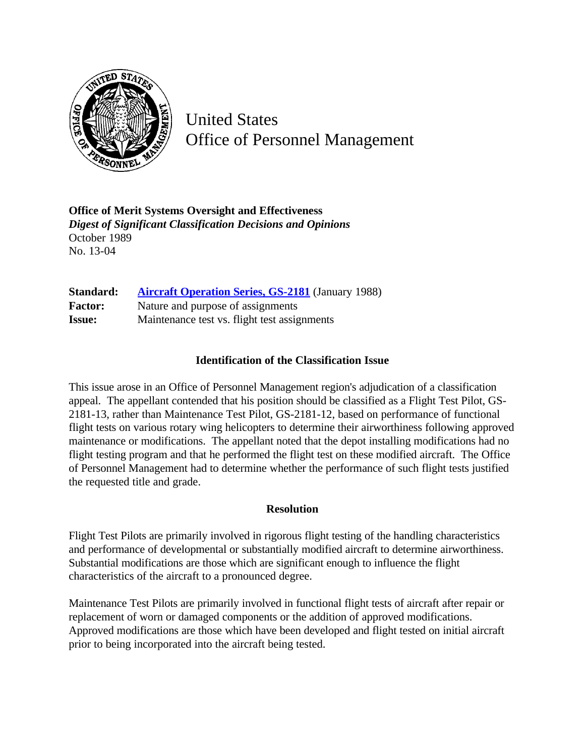

United States Office of Personnel Management

**Office of Merit Systems Oversight and Effectiveness** *Digest of Significant Classification Decisions and Opinions* October 1989 No. 13-04

| Standard:      | <b>Aircraft Operation Series, GS-2181</b> (January 1988) |
|----------------|----------------------------------------------------------|
| <b>Factor:</b> | Nature and purpose of assignments                        |
| <b>Issue:</b>  | Maintenance test vs. flight test assignments             |

## **Identification of the Classification Issue**

This issue arose in an Office of Personnel Management region's adjudication of a classification appeal. The appellant contended that his position should be classified as a Flight Test Pilot, GS-2181-13, rather than Maintenance Test Pilot, GS-2181-12, based on performance of functional flight tests on various rotary wing helicopters to determine their airworthiness following approved maintenance or modifications. The appellant noted that the depot installing modifications had no flight testing program and that he performed the flight test on these modified aircraft. The Office of Personnel Management had to determine whether the performance of such flight tests justified the requested title and grade.

## **Resolution**

Flight Test Pilots are primarily involved in rigorous flight testing of the handling characteristics and performance of developmental or substantially modified aircraft to determine airworthiness. Substantial modifications are those which are significant enough to influence the flight characteristics of the aircraft to a pronounced degree.

Maintenance Test Pilots are primarily involved in functional flight tests of aircraft after repair or replacement of worn or damaged components or the addition of approved modifications. Approved modifications are those which have been developed and flight tested on initial aircraft prior to being incorporated into the aircraft being tested.